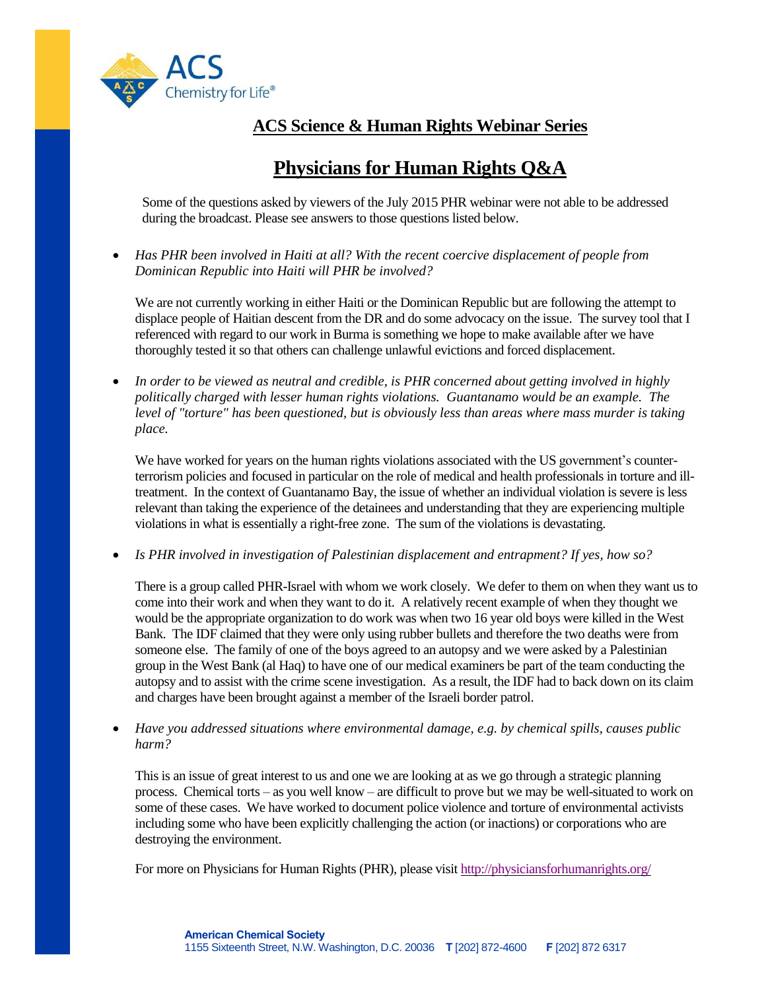

## **ACS Science & Human Rights Webinar Series**

## **Physicians for Human Rights Q&A**

Some of the questions asked by viewers of the July 2015 PHR webinar were not able to be addressed during the broadcast. Please see answers to those questions listed below.

 *Has PHR been involved in Haiti at all? With the recent coercive displacement of people from Dominican Republic into Haiti will PHR be involved?*

We are not currently working in either Haiti or the Dominican Republic but are following the attempt to displace people of Haitian descent from the DR and do some advocacy on the issue. The survey tool that I referenced with regard to our work in Burma is something we hope to make available after we have thoroughly tested it so that others can challenge unlawful evictions and forced displacement.

 *In order to be viewed as neutral and credible, is PHR concerned about getting involved in highly politically charged with lesser human rights violations. Guantanamo would be an example. The level of "torture" has been questioned, but is obviously less than areas where mass murder is taking place.*

We have worked for years on the human rights violations associated with the US government's counterterrorism policies and focused in particular on the role of medical and health professionals in torture and illtreatment. In the context of Guantanamo Bay, the issue of whether an individual violation is severe is less relevant than taking the experience of the detainees and understanding that they are experiencing multiple violations in what is essentially a right-free zone. The sum of the violations is devastating.

*Is PHR involved in investigation of Palestinian displacement and entrapment? If yes, how so?*

There is a group called PHR-Israel with whom we work closely. We defer to them on when they want us to come into their work and when they want to do it. A relatively recent example of when they thought we would be the appropriate organization to do work was when two 16 year old boys were killed in the West Bank. The IDF claimed that they were only using rubber bullets and therefore the two deaths were from someone else. The family of one of the boys agreed to an autopsy and we were asked by a Palestinian group in the West Bank (al Haq) to have one of our medical examiners be part of the team conducting the autopsy and to assist with the crime scene investigation. As a result, the IDF had to back down on its claim and charges have been brought against a member of the Israeli border patrol.

 *Have you addressed situations where environmental damage, e.g. by chemical spills, causes public harm?*

This is an issue of great interest to us and one we are looking at as we go through a strategic planning process. Chemical torts – as you well know – are difficult to prove but we may be well-situated to work on some of these cases. We have worked to document police violence and torture of environmental activists including some who have been explicitly challenging the action (or inactions) or corporations who are destroying the environment.

For more on Physicians for Human Rights (PHR), please visit <http://physiciansforhumanrights.org/>